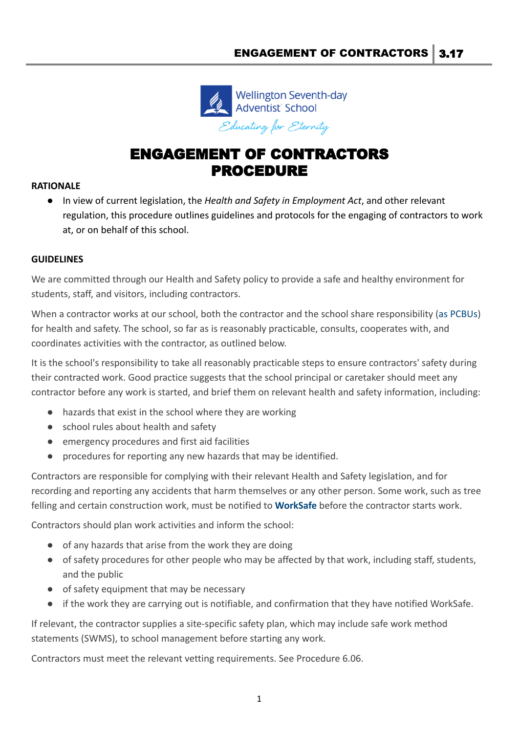

## ENGAGEMENT OF CONTRACTORS PROCEDURE

## **RATIONALE**

● In view of current legislation, the *Health and Safety in Employment Act*, and other relevant regulation, this procedure outlines guidelines and protocols for the engaging of contractors to work at, or on behalf of this school.

## **GUIDELINES**

We are committed through our Health and Safety policy to provide a safe and healthy environment for students, staff, and visitors, including contractors.

When a contractor works at our school, both the contractor and the school share responsibility ([as PCBUs\)](https://demo.schooldocs.co.nz/12341.htm) for health and safety. The school, so far as is reasonably practicable, consults, cooperates with, and coordinates activities with the contractor, as outlined below.

It is the school's responsibility to take all reasonably practicable steps to ensure contractors' safety during their contracted work. Good practice suggests that the school principal or caretaker should meet any contractor before any work is started, and brief them on relevant health and safety information, including:

- hazards that exist in the school where they are working
- school rules about health and safety
- emergency procedures and first aid facilities
- procedures for reporting any new hazards that may be identified.

Contractors are responsible for complying with their relevant Health and Safety legislation, and for recording and reporting any accidents that harm themselves or any other person. Some work, such as tree felling and certain construction work, must be notified to **[WorkSafe](http://www.business.govt.nz/worksafe/notifications-forms/particular-hazardous-work)** before the contractor starts work.

Contractors should plan work activities and inform the school:

- of any hazards that arise from the work they are doing
- of safety procedures for other people who may be affected by that work, including staff, students, and the public
- of safety equipment that may be necessary
- if the work they are carrying out is notifiable, and confirmation that they have notified WorkSafe.

If relevant, the contractor supplies a site-specific safety plan, which may include safe work method statements (SWMS), to school management before starting any work.

Contractors must meet the relevant vetting requirements. See Procedure 6.06.